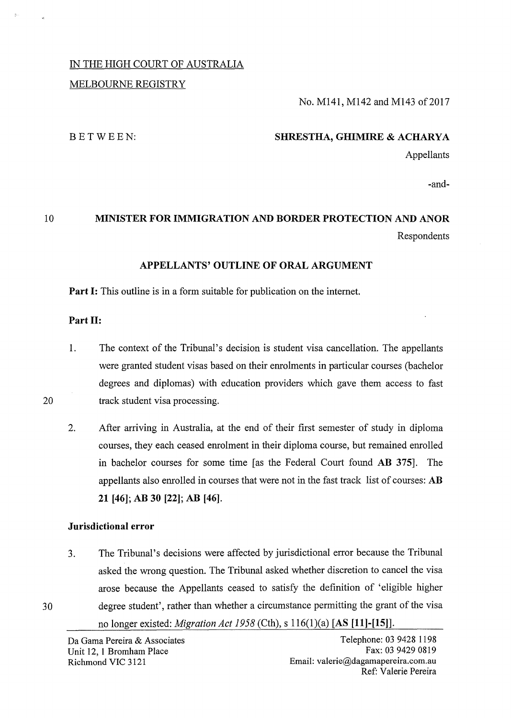# IN THE HIGH COURT OF AUSTRALIA MELBOURNE REGISTRY

# No. M141, M142 and M143 of 2017

### BETWEEN:

### **SHRESTHA, GHIMIRE & ACHARYA**

Appellants

-and-

# 10 **MINISTER FOR IMMIGRATION AND BORDER PROTECTION AND ANOR**  Respondents

### **APPELLANTS' OUTLINE OF ORAL ARGUMENT**

**Part I:** This outline is in a form suitable for publication on the internet.

## **Part 11:**

20

1. The context of the Tribunal's decision is student visa cancellation. The appellants were granted student visas based on their enrolments in particular courses (bachelor degrees and diplomas) with education providers which gave them access to fast track student visa processing.

2. After arriving in Australia, at the end of their first semester of study in diploma courses, they each ceased enrolment in their diploma course, but remained enrolled in bachelor courses for some time [as the Federal Court found **AB 375].** The appellants also enrolled in courses that were not in the fast track list of courses: **AB 21 [46]; AB 30 [22]; AB [46).** 

### **Jurisdictional error**

3. The Tribunal's decisions were affected by jurisdictional error because the Tribunal asked the wrong question. The Tribunal asked whether discretion to cancel the visa arose because the Appellants ceased to satisfy the definition of 'eligible higher 30 degree student', rather than whether a circumstance permitting the grant of the visa

no longer existed: *Migration Act 1958* (Cth), s 116(1)(a) [AS **[11]-[15]].**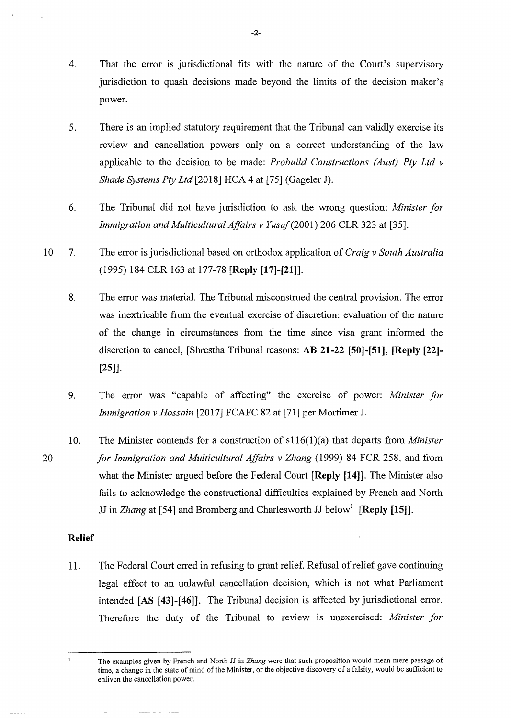- 4. That the error is jurisdictional fits with the nature of the Court's supervisory jurisdiction to quash decisions made beyond the limits of the decision maker's power.
- 5. There is an implied statutory requirement that the Tribunal can validly exercise its review and cancellation powers only on a correct understanding of the law applicable to the decision to be made: *Probuild Constructions (Aust) Pty Ltd v Shade Systems Pty Ltd* [2018] HCA 4 at [75] (Gageler J).
- 6. The Tribunal did not have jurisdiction to ask the wrong question: *Minister for Immigration and Multicultural Affairs v Yusuf (2001) 206 CLR 323 at [35].*
- 10 7. The error is jurisdictional based on orthodox application of *Craig v South Australia*  ( 1995) 184 CLR 163 at 177-78 **[Reply [17]-[21]].** 
	- 8. The error was material. The Tribunal misconstrued the central provision. The error was inextricable from the eventual exercise of discretion: evaluation of the nature of the change in circumstances from the time since visa grant informed the discretion to cancel, [Shrestha Tribunal reasons: AB **21-22 [50]-[51], [Reply** [22]- **[25]].**
	- 9. The error was "capable of affecting" the exercise of power: *Minister for Immigration v Hossain* [2017] FCAFC 82 at [71] per Mortimer J.
	- 10. The Minister contends for a construction of s116(1)(a) that departs from *Minister for Immigration and Multicultural Affairs v Zhang* (1999) 84 FCR 258, and from what the Minister argued before the Federal Court **[Reply [14]].** The Minister also fails to acknowledge the constructional difficulties explained by French and North JJ in *Zhang* at [54] and Bromberg and Charlesworth JJ below<sup>1</sup> [Reply [15]].

## **Relief**

11. The Federal Court erred in refusing to grant relief. Refusal of relief gave continuing legal effect to an unlawful cancellation decision, which is not what Parliament intended [AS **[43]-[46]].** The Tribunal decision is affected by jurisdictional error. Therefore the duty of the Tribunal to review is unexercised: *Minister for* 

20

The examples given by French and North JJ in *Zhang* were that such proposition would mean mere passage of time, a change in the state of mind of the Minister, or the objective discovery of a falsity, would be sufficient to enliven the cancellation power.